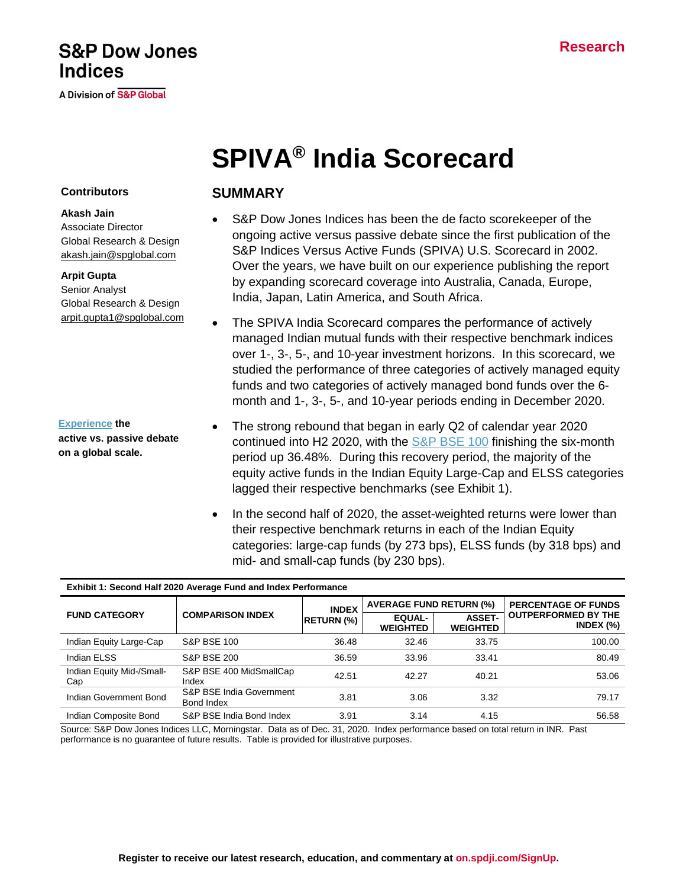# **S&P Dow Jones Indices**

**A Division of S&P Global** 

# **SPIVA® India Scorecard**

#### **Contributors**

**Akash Jain**  Associate Director Global Research & Design [akash.jain@spglobal.com](mailto:akash.jain@spglobal.com)

#### **Arpit Gupta**

Senior Analyst Global Research & Design [arpit.gupta1@spglobal.com](mailto:arpit.gupta@spglobal.com)

**[Experience](https://www.spglobal.com/spdji/en/research-insights/spiva/) the active vs. passive debate on a global scale.**

## **SUMMARY**

- S&P Dow Jones Indices has been the de facto scorekeeper of the ongoing active versus passive debate since the first publication of the S&P Indices Versus Active Funds (SPIVA) U.S. Scorecard in 2002. Over the years, we have built on our experience publishing the report by expanding scorecard coverage into Australia, Canada, Europe, India, Japan, Latin America, and South Africa.
- The SPIVA India Scorecard compares the performance of actively managed Indian mutual funds with their respective benchmark indices over 1-, 3-, 5-, and 10-year investment horizons. In this scorecard, we studied the performance of three categories of actively managed equity funds and two categories of actively managed bond funds over the 6 month and 1-, 3-, 5-, and 10-year periods ending in December 2020.
- The strong rebound that began in early Q2 of calendar year 2020 continued into H2 2020, with the [S&P BSE 100](https://www.spglobal.com/spdji/en/indices/equity/sp-bse-100/#overview) finishing the six-month period up 36.48%. During this recovery period, the majority of the equity active funds in the Indian Equity Large-Cap and ELSS categories lagged their respective benchmarks (see Exhibit 1).
- In the second half of 2020, the asset-weighted returns were lower than their respective benchmark returns in each of the Indian Equity categories: large-cap funds (by 273 bps), ELSS funds (by 318 bps) and mid- and small-cap funds (by 230 bps).

#### **Exhibit 1: Second Half 2020 Average Fund and Index Performance**

|                                  |                                        | <b>INDEX</b>      | <b>AVERAGE FUND RETURN (%)</b>   |                                  | <b>PERCENTAGE OF FUNDS</b>                 |
|----------------------------------|----------------------------------------|-------------------|----------------------------------|----------------------------------|--------------------------------------------|
| <b>FUND CATEGORY</b>             | <b>COMPARISON INDEX</b>                | <b>RETURN (%)</b> | <b>EQUAL-</b><br><b>WEIGHTED</b> | <b>ASSET-</b><br><b>WEIGHTED</b> | <b>OUTPERFORMED BY THE</b><br>INDEX $(\%)$ |
| Indian Equity Large-Cap          | <b>S&amp;P BSE 100</b>                 | 36.48             | 32.46                            | 33.75                            | 100.00                                     |
| Indian ELSS                      | <b>S&amp;P BSE 200</b>                 | 36.59             | 33.96                            | 33.41                            | 80.49                                      |
| Indian Equity Mid-/Small-<br>Cap | S&P BSE 400 MidSmallCap<br>Index       | 42.51             | 42.27                            | 40.21                            | 53.06                                      |
| Indian Government Bond           | S&P BSE India Government<br>Bond Index | 3.81              | 3.06                             | 3.32                             | 79.17                                      |
| Indian Composite Bond            | S&P BSE India Bond Index               | 3.91              | 3.14                             | 4.15                             | 56.58                                      |

Source: S&P Dow Jones Indices LLC, Morningstar. Data as of Dec. 31, 2020. Index performance based on total return in INR. Past performance is no guarantee of future results. Table is provided for illustrative purposes.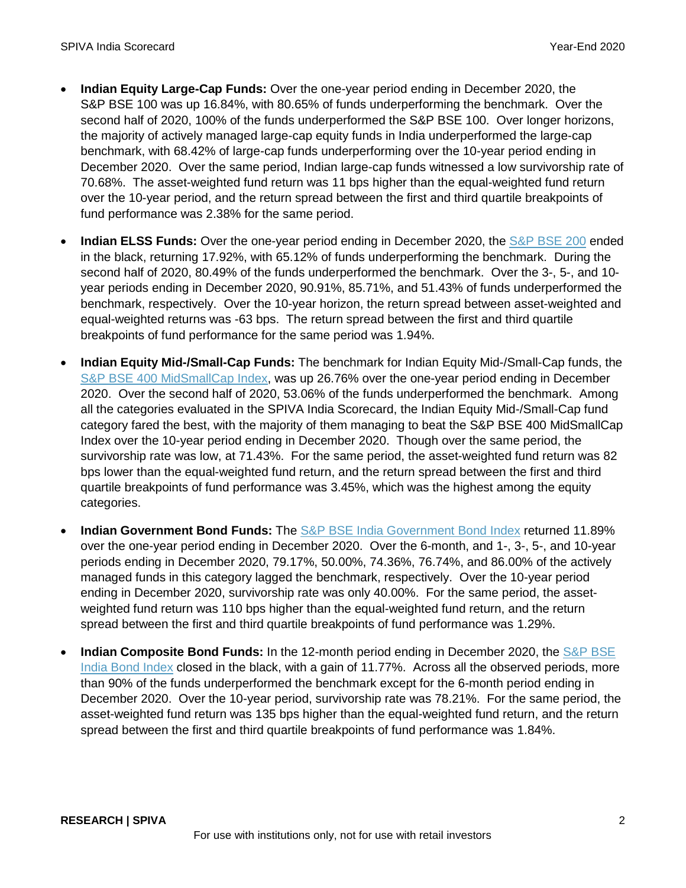- **Indian Equity Large-Cap Funds:** Over the one-year period ending in December 2020, the S&P BSE 100 was up 16.84%, with 80.65% of funds underperforming the benchmark. Over the second half of 2020, 100% of the funds underperformed the S&P BSE 100. Over longer horizons, the majority of actively managed large-cap equity funds in India underperformed the large-cap benchmark, with 68.42% of large-cap funds underperforming over the 10-year period ending in December 2020. Over the same period, Indian large-cap funds witnessed a low survivorship rate of 70.68%. The asset-weighted fund return was 11 bps higher than the equal-weighted fund return over the 10-year period, and the return spread between the first and third quartile breakpoints of fund performance was 2.38% for the same period.
- **Indian ELSS Funds:** Over the one-year period ending in December 2020, the [S&P BSE 200](https://www.spglobal.com/spdji/en/indices/equity/sp-bse-200/#overview) ended in the black, returning 17.92%, with 65.12% of funds underperforming the benchmark. During the second half of 2020, 80.49% of the funds underperformed the benchmark. Over the 3-, 5-, and 10 year periods ending in December 2020, 90.91%, 85.71%, and 51.43% of funds underperformed the benchmark, respectively. Over the 10-year horizon, the return spread between asset-weighted and equal-weighted returns was -63 bps. The return spread between the first and third quartile breakpoints of fund performance for the same period was 1.94%.
- **Indian Equity Mid-/Small-Cap Funds:** The benchmark for Indian Equity Mid-/Small-Cap funds, the [S&P BSE 400 MidSmallCap Index,](https://www.spglobal.com/spdji/en/indices/equity/sp-bse-400-midsmallcap-index/#overview) was up 26.76% over the one-year period ending in December 2020. Over the second half of 2020, 53.06% of the funds underperformed the benchmark. Among all the categories evaluated in the SPIVA India Scorecard, the Indian Equity Mid-/Small-Cap fund category fared the best, with the majority of them managing to beat the S&P BSE 400 MidSmallCap Index over the 10-year period ending in December 2020. Though over the same period, the survivorship rate was low, at 71.43%. For the same period, the asset-weighted fund return was 82 bps lower than the equal-weighted fund return, and the return spread between the first and third quartile breakpoints of fund performance was 3.45%, which was the highest among the equity categories.
- **Indian Government Bond Funds:** The [S&P BSE India Government Bond Index](https://www.spglobal.com/spdji/en/indices/fixed-income/sp-bse-india-government-bond-index/) returned 11.89% over the one-year period ending in December 2020. Over the 6-month, and 1-, 3-, 5-, and 10-year periods ending in December 2020, 79.17%, 50.00%, 74.36%, 76.74%, and 86.00% of the actively managed funds in this category lagged the benchmark, respectively. Over the 10-year period ending in December 2020, survivorship rate was only 40.00%. For the same period, the assetweighted fund return was 110 bps higher than the equal-weighted fund return, and the return spread between the first and third quartile breakpoints of fund performance was 1.29%.
- **Indian Composite Bond Funds:** In the 12-month period ending in December 2020, the S&P BSE [India Bond Index](https://www.spglobal.com/spdji/en/indices/fixed-income/sp-bse-india-bond-index/#overview) closed in the black, with a gain of 11.77%. Across all the observed periods, more than 90% of the funds underperformed the benchmark except for the 6-month period ending in December 2020. Over the 10-year period, survivorship rate was 78.21%. For the same period, the asset-weighted fund return was 135 bps higher than the equal-weighted fund return, and the return spread between the first and third quartile breakpoints of fund performance was 1.84%.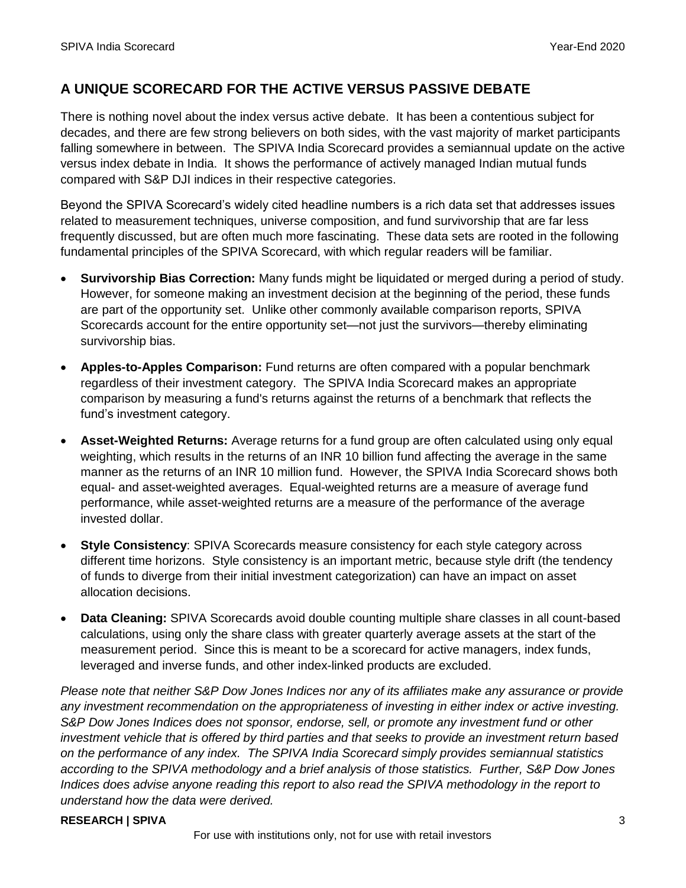## **A UNIQUE SCORECARD FOR THE ACTIVE VERSUS PASSIVE DEBATE**

There is nothing novel about the index versus active debate. It has been a contentious subject for decades, and there are few strong believers on both sides, with the vast majority of market participants falling somewhere in between. The SPIVA India Scorecard provides a semiannual update on the active versus index debate in India. It shows the performance of actively managed Indian mutual funds compared with S&P DJI indices in their respective categories.

Beyond the SPIVA Scorecard's widely cited headline numbers is a rich data set that addresses issues related to measurement techniques, universe composition, and fund survivorship that are far less frequently discussed, but are often much more fascinating. These data sets are rooted in the following fundamental principles of the SPIVA Scorecard, with which regular readers will be familiar.

- **Survivorship Bias Correction:** Many funds might be liquidated or merged during a period of study. However, for someone making an investment decision at the beginning of the period, these funds are part of the opportunity set. Unlike other commonly available comparison reports, SPIVA Scorecards account for the entire opportunity set—not just the survivors—thereby eliminating survivorship bias.
- **Apples-to-Apples Comparison:** Fund returns are often compared with a popular benchmark regardless of their investment category. The SPIVA India Scorecard makes an appropriate comparison by measuring a fund's returns against the returns of a benchmark that reflects the fund's investment category.
- **Asset-Weighted Returns:** Average returns for a fund group are often calculated using only equal weighting, which results in the returns of an INR 10 billion fund affecting the average in the same manner as the returns of an INR 10 million fund. However, the SPIVA India Scorecard shows both equal- and asset-weighted averages. Equal-weighted returns are a measure of average fund performance, while asset-weighted returns are a measure of the performance of the average invested dollar.
- **Style Consistency**: SPIVA Scorecards measure consistency for each style category across different time horizons. Style consistency is an important metric, because style drift (the tendency of funds to diverge from their initial investment categorization) can have an impact on asset allocation decisions.
- **Data Cleaning:** SPIVA Scorecards avoid double counting multiple share classes in all count-based calculations, using only the share class with greater quarterly average assets at the start of the measurement period. Since this is meant to be a scorecard for active managers, index funds, leveraged and inverse funds, and other index-linked products are excluded.

*Please note that neither S&P Dow Jones Indices nor any of its affiliates make any assurance or provide any investment recommendation on the appropriateness of investing in either index or active investing. S&P Dow Jones Indices does not sponsor, endorse, sell, or promote any investment fund or other investment vehicle that is offered by third parties and that seeks to provide an investment return based on the performance of any index. The SPIVA India Scorecard simply provides semiannual statistics according to the SPIVA methodology and a brief analysis of those statistics. Further, S&P Dow Jones Indices does advise anyone reading this report to also read the SPIVA methodology in the report to understand how the data were derived.*

#### **RESEARCH | SPIVA** 3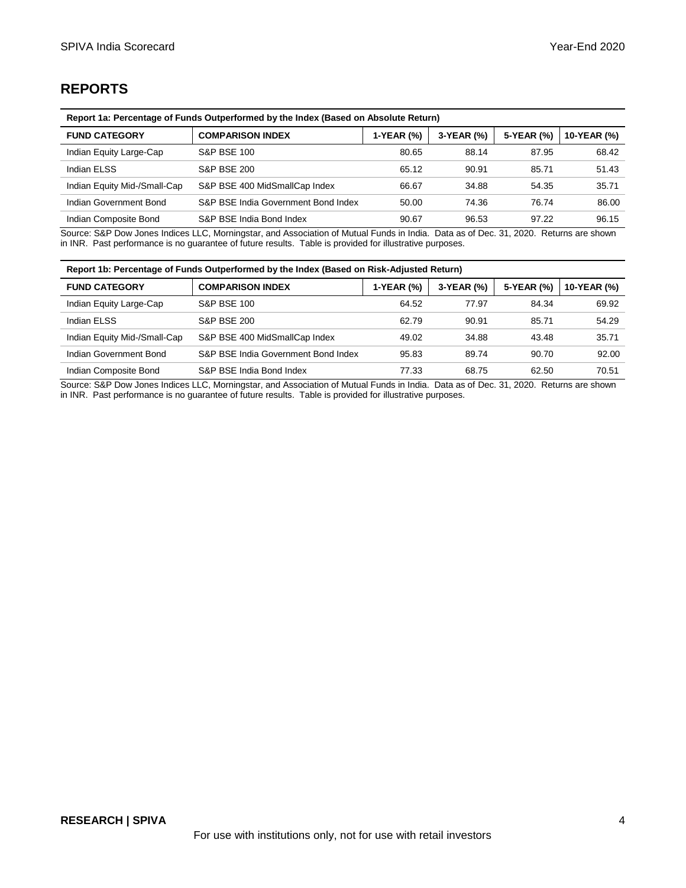# **REPORTS**

| Report 1a: Percentage of Funds Outperformed by the Index (Based on Absolute Return) |                                     |            |            |            |             |
|-------------------------------------------------------------------------------------|-------------------------------------|------------|------------|------------|-------------|
| <b>FUND CATEGORY</b>                                                                | <b>COMPARISON INDEX</b>             | 1-YEAR (%) | 3-YEAR (%) | 5-YEAR (%) | 10-YEAR (%) |
| Indian Equity Large-Cap                                                             | <b>S&amp;P BSE 100</b>              | 80.65      | 88.14      | 87.95      | 68.42       |
| Indian ELSS                                                                         | <b>S&amp;P BSE 200</b>              | 65.12      | 90.91      | 85.71      | 51.43       |
| Indian Equity Mid-/Small-Cap                                                        | S&P BSE 400 MidSmallCap Index       | 66.67      | 34.88      | 54.35      | 35.71       |
| Indian Government Bond                                                              | S&P BSE India Government Bond Index | 50.00      | 74.36      | 76.74      | 86.00       |
| Indian Composite Bond                                                               | S&P BSE India Bond Index            | 90.67      | 96.53      | 97.22      | 96.15       |

Source: S&P Dow Jones Indices LLC, Morningstar, and Association of Mutual Funds in India. Data as of Dec. 31, 2020. Returns are shown in INR. Past performance is no guarantee of future results. Table is provided for illustrative purposes.

| Report 1b: Percentage of Funds Outperformed by the Index (Based on Risk-Adjusted Return) |                                     |            |            |            |             |
|------------------------------------------------------------------------------------------|-------------------------------------|------------|------------|------------|-------------|
| <b>FUND CATEGORY</b>                                                                     | <b>COMPARISON INDEX</b>             | 1-YEAR (%) | 3-YEAR (%) | 5-YEAR (%) | 10-YEAR (%) |
| Indian Equity Large-Cap                                                                  | <b>S&amp;P BSE 100</b>              | 64.52      | 77.97      | 84.34      | 69.92       |
| Indian ELSS                                                                              | <b>S&amp;P BSE 200</b>              | 62.79      | 90.91      | 85.71      | 54.29       |
| Indian Equity Mid-/Small-Cap                                                             | S&P BSE 400 MidSmallCap Index       | 49.02      | 34.88      | 43.48      | 35.71       |
| Indian Government Bond                                                                   | S&P BSE India Government Bond Index | 95.83      | 89.74      | 90.70      | 92.00       |
| Indian Composite Bond                                                                    | S&P BSE India Bond Index            | 77.33      | 68.75      | 62.50      | 70.51       |

Source: S&P Dow Jones Indices LLC, Morningstar, and Association of Mutual Funds in India. Data as of Dec. 31, 2020. Returns are shown in INR. Past performance is no guarantee of future results. Table is provided for illustrative purposes.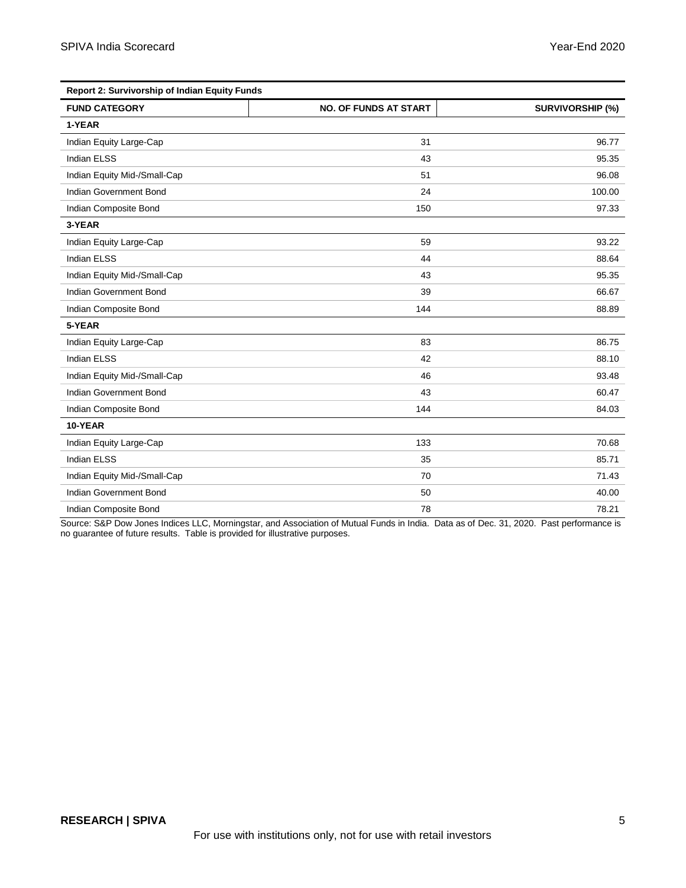| Report 2: Survivorship of Indian Equity Funds |                              |                         |  |
|-----------------------------------------------|------------------------------|-------------------------|--|
| <b>FUND CATEGORY</b>                          | <b>NO. OF FUNDS AT START</b> | <b>SURVIVORSHIP (%)</b> |  |
| 1-YEAR                                        |                              |                         |  |
| Indian Equity Large-Cap                       | 31                           | 96.77                   |  |
| <b>Indian ELSS</b>                            | 43                           | 95.35                   |  |
| Indian Equity Mid-/Small-Cap                  | 51                           | 96.08                   |  |
| Indian Government Bond                        | 24                           | 100.00                  |  |
| Indian Composite Bond                         | 150                          | 97.33                   |  |
| 3-YEAR                                        |                              |                         |  |
| Indian Equity Large-Cap                       | 59                           | 93.22                   |  |
| <b>Indian ELSS</b>                            | 44                           | 88.64                   |  |
| Indian Equity Mid-/Small-Cap                  | 43                           | 95.35                   |  |
| Indian Government Bond                        | 39                           | 66.67                   |  |
| Indian Composite Bond                         | 144                          | 88.89                   |  |
| 5-YEAR                                        |                              |                         |  |
| Indian Equity Large-Cap                       | 83                           | 86.75                   |  |
| <b>Indian ELSS</b>                            | 42                           | 88.10                   |  |
| Indian Equity Mid-/Small-Cap                  | 46                           | 93.48                   |  |
| Indian Government Bond                        | 43                           | 60.47                   |  |
| Indian Composite Bond                         | 144                          | 84.03                   |  |
| 10-YEAR                                       |                              |                         |  |
| Indian Equity Large-Cap                       | 133                          | 70.68                   |  |
| <b>Indian ELSS</b>                            | 35                           | 85.71                   |  |
| Indian Equity Mid-/Small-Cap                  | 70                           | 71.43                   |  |
| Indian Government Bond                        | 50                           | 40.00                   |  |
| Indian Composite Bond                         | 78                           | 78.21                   |  |

Source: S&P Dow Jones Indices LLC, Morningstar, and Association of Mutual Funds in India. Data as of Dec. 31, 2020. Past performance is no guarantee of future results. Table is provided for illustrative purposes.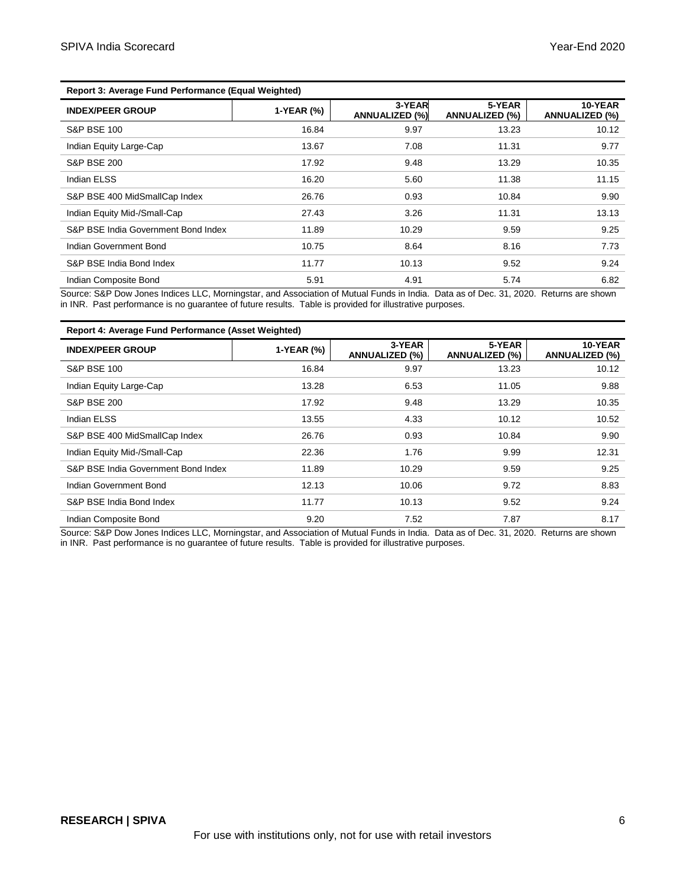| <b>INDEX/PEER GROUP</b>             | 1-YEAR (%) | 3-YEAR<br><b>ANNUALIZED (%)</b> | 5-YEAR<br><b>ANNUALIZED (%)</b> | 10-YEAR<br><b>ANNUALIZED (%)</b> |
|-------------------------------------|------------|---------------------------------|---------------------------------|----------------------------------|
| <b>S&amp;P BSE 100</b>              | 16.84      | 9.97                            | 13.23                           | 10.12                            |
| Indian Equity Large-Cap             | 13.67      | 7.08                            | 11.31                           | 9.77                             |
| <b>S&amp;P BSE 200</b>              | 17.92      | 9.48                            | 13.29                           | 10.35                            |
| Indian ELSS                         | 16.20      | 5.60                            | 11.38                           | 11.15                            |
| S&P BSE 400 MidSmallCap Index       | 26.76      | 0.93                            | 10.84                           | 9.90                             |
| Indian Equity Mid-/Small-Cap        | 27.43      | 3.26                            | 11.31                           | 13.13                            |
| S&P BSE India Government Bond Index | 11.89      | 10.29                           | 9.59                            | 9.25                             |
| Indian Government Bond              | 10.75      | 8.64                            | 8.16                            | 7.73                             |
| S&P BSE India Bond Index            | 11.77      | 10.13                           | 9.52                            | 9.24                             |
| Indian Composite Bond               | 5.91       | 4.91                            | 5.74                            | 6.82                             |

Source: S&P Dow Jones Indices LLC, Morningstar, and Association of Mutual Funds in India. Data as of Dec. 31, 2020. Returns are shown in INR. Past performance is no guarantee of future results. Table is provided for illustrative purposes.

#### **Report 4: Average Fund Performance (Asset Weighted)**

| <b>INDEX/PEER GROUP</b>             | 1-YEAR (%) | 3-YEAR<br><b>ANNUALIZED (%)</b> | 5-YEAR<br><b>ANNUALIZED (%)</b> | 10-YEAR<br><b>ANNUALIZED (%)</b> |
|-------------------------------------|------------|---------------------------------|---------------------------------|----------------------------------|
| <b>S&amp;P BSE 100</b>              | 16.84      | 9.97                            | 13.23                           | 10.12                            |
| Indian Equity Large-Cap             | 13.28      | 6.53                            | 11.05                           | 9.88                             |
| <b>S&amp;P BSE 200</b>              | 17.92      | 9.48                            | 13.29                           | 10.35                            |
| <b>Indian ELSS</b>                  | 13.55      | 4.33                            | 10.12                           | 10.52                            |
| S&P BSE 400 MidSmallCap Index       | 26.76      | 0.93                            | 10.84                           | 9.90                             |
| Indian Equity Mid-/Small-Cap        | 22.36      | 1.76                            | 9.99                            | 12.31                            |
| S&P BSE India Government Bond Index | 11.89      | 10.29                           | 9.59                            | 9.25                             |
| Indian Government Bond              | 12.13      | 10.06                           | 9.72                            | 8.83                             |
| S&P BSE India Bond Index            | 11.77      | 10.13                           | 9.52                            | 9.24                             |
| Indian Composite Bond               | 9.20       | 7.52                            | 7.87                            | 8.17                             |

Source: S&P Dow Jones Indices LLC, Morningstar, and Association of Mutual Funds in India. Data as of Dec. 31, 2020. Returns are shown in INR. Past performance is no guarantee of future results. Table is provided for illustrative purposes.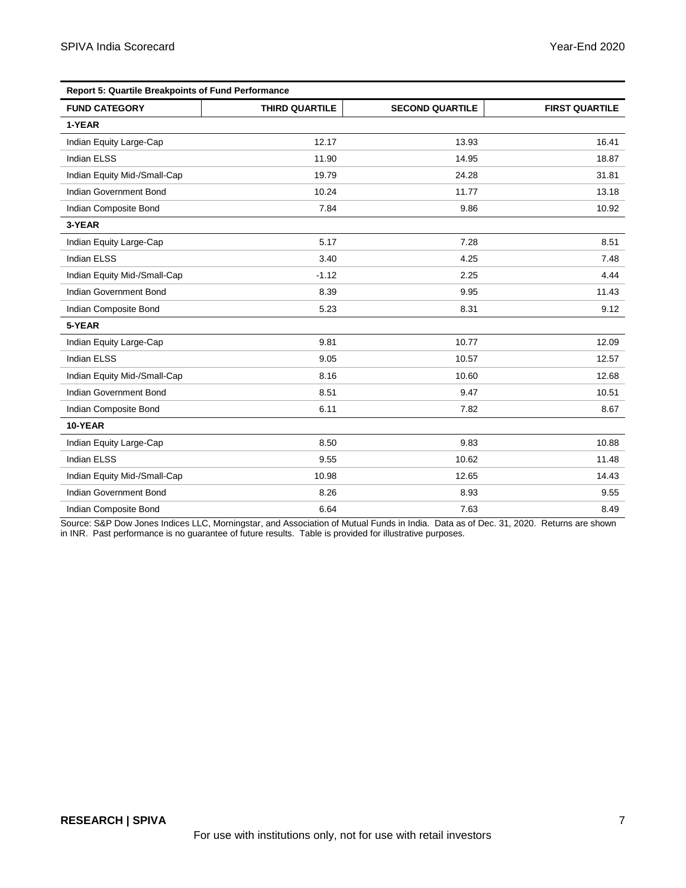| <b>Report 5: Quartile Breakpoints of Fund Performance</b> |                       |                        |                       |  |
|-----------------------------------------------------------|-----------------------|------------------------|-----------------------|--|
| <b>FUND CATEGORY</b>                                      | <b>THIRD QUARTILE</b> | <b>SECOND QUARTILE</b> | <b>FIRST QUARTILE</b> |  |
| 1-YEAR                                                    |                       |                        |                       |  |
| Indian Equity Large-Cap                                   | 12.17                 | 13.93                  | 16.41                 |  |
| <b>Indian ELSS</b>                                        | 11.90                 | 14.95                  | 18.87                 |  |
| Indian Equity Mid-/Small-Cap                              | 19.79                 | 24.28                  | 31.81                 |  |
| Indian Government Bond                                    | 10.24                 | 11.77                  | 13.18                 |  |
| Indian Composite Bond                                     | 7.84                  | 9.86                   | 10.92                 |  |
| 3-YEAR                                                    |                       |                        |                       |  |
| Indian Equity Large-Cap                                   | 5.17                  | 7.28                   | 8.51                  |  |
| <b>Indian ELSS</b>                                        | 3.40                  | 4.25                   | 7.48                  |  |
| Indian Equity Mid-/Small-Cap                              | $-1.12$               | 2.25                   | 4.44                  |  |
| Indian Government Bond                                    | 8.39                  | 9.95                   | 11.43                 |  |
| Indian Composite Bond                                     | 5.23                  | 8.31                   | 9.12                  |  |
| 5-YEAR                                                    |                       |                        |                       |  |
| Indian Equity Large-Cap                                   | 9.81                  | 10.77                  | 12.09                 |  |
| <b>Indian ELSS</b>                                        | 9.05                  | 10.57                  | 12.57                 |  |
| Indian Equity Mid-/Small-Cap                              | 8.16                  | 10.60                  | 12.68                 |  |
| Indian Government Bond                                    | 8.51                  | 9.47                   | 10.51                 |  |
| Indian Composite Bond                                     | 6.11                  | 7.82                   | 8.67                  |  |
| 10-YEAR                                                   |                       |                        |                       |  |
| Indian Equity Large-Cap                                   | 8.50                  | 9.83                   | 10.88                 |  |
| <b>Indian ELSS</b>                                        | 9.55                  | 10.62                  | 11.48                 |  |
| Indian Equity Mid-/Small-Cap                              | 10.98                 | 12.65                  | 14.43                 |  |
| Indian Government Bond                                    | 8.26                  | 8.93                   | 9.55                  |  |
| Indian Composite Bond                                     | 6.64                  | 7.63                   | 8.49                  |  |

Source: S&P Dow Jones Indices LLC, Morningstar, and Association of Mutual Funds in India. Data as of Dec. 31, 2020. Returns are shown in INR. Past performance is no guarantee of future results. Table is provided for illustrative purposes.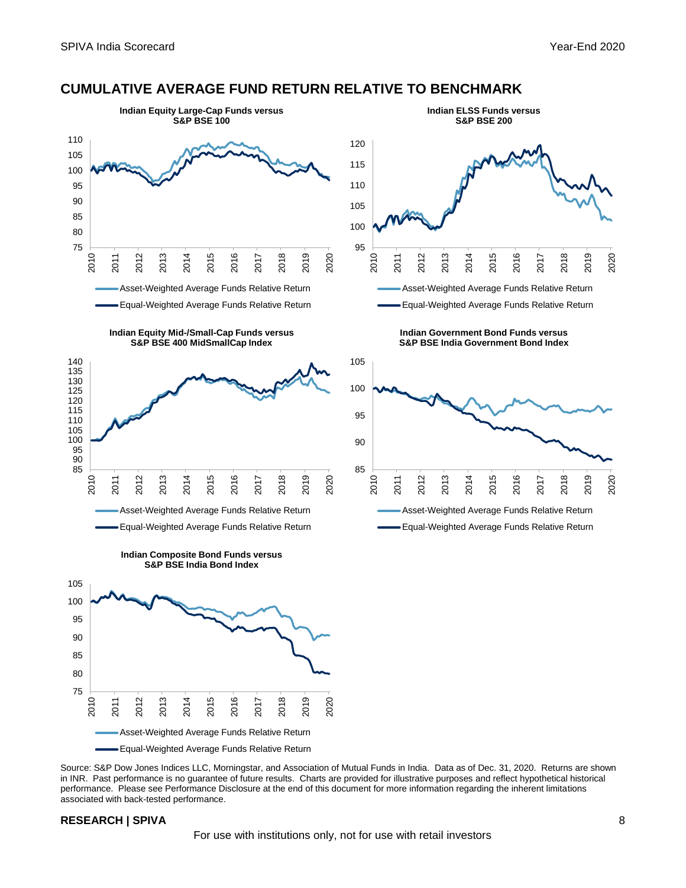#### **CUMULATIVE AVERAGE FUND RETURN RELATIVE TO BENCHMARK**



Source: S&P Dow Jones Indices LLC, Morningstar, and Association of Mutual Funds in India. Data as of Dec. 31, 2020. Returns are shown in INR. Past performance is no guarantee of future results. Charts are provided for illustrative purposes and reflect hypothetical historical performance. Please see Performance Disclosure at the end of this document for more information regarding the inherent limitations associated with back-tested performance.

#### **RESEARCH | SPIVA** 8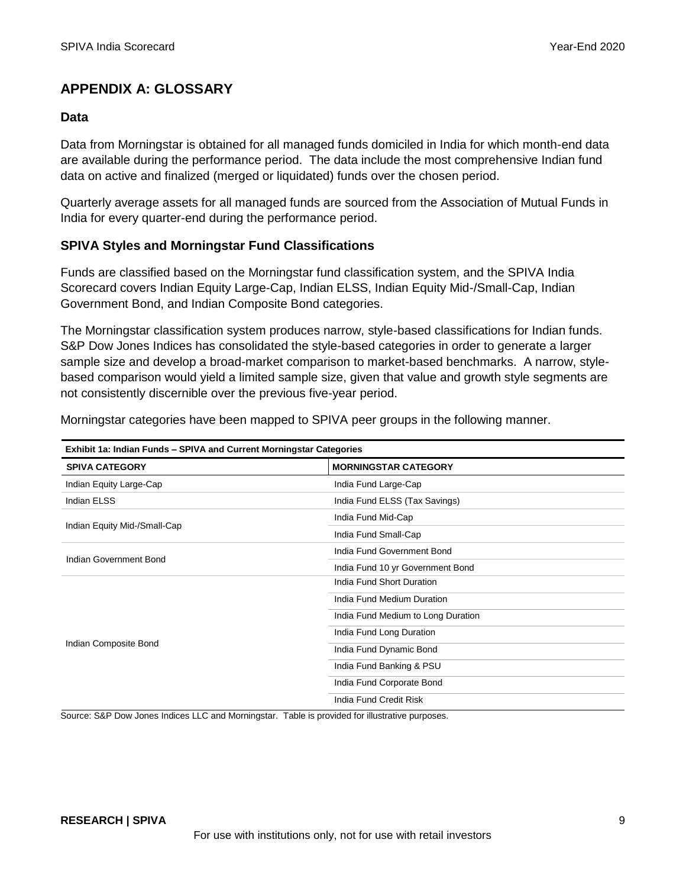## **APPENDIX A: GLOSSARY**

#### **Data**

Data from Morningstar is obtained for all managed funds domiciled in India for which month-end data are available during the performance period. The data include the most comprehensive Indian fund data on active and finalized (merged or liquidated) funds over the chosen period.

Quarterly average assets for all managed funds are sourced from the Association of Mutual Funds in India for every quarter-end during the performance period.

#### **SPIVA Styles and Morningstar Fund Classifications**

Funds are classified based on the Morningstar fund classification system, and the SPIVA India Scorecard covers Indian Equity Large-Cap, Indian ELSS, Indian Equity Mid-/Small-Cap, Indian Government Bond, and Indian Composite Bond categories.

The Morningstar classification system produces narrow, style-based classifications for Indian funds. S&P Dow Jones Indices has consolidated the style-based categories in order to generate a larger sample size and develop a broad-market comparison to market-based benchmarks. A narrow, stylebased comparison would yield a limited sample size, given that value and growth style segments are not consistently discernible over the previous five-year period.

Morningstar categories have been mapped to SPIVA peer groups in the following manner.

| Exhibit 1a: Indian Funds - SPIVA and Current Morningstar Categories |  |  |  |
|---------------------------------------------------------------------|--|--|--|
| <b>MORNINGSTAR CATEGORY</b>                                         |  |  |  |
| India Fund Large-Cap                                                |  |  |  |
| India Fund ELSS (Tax Savings)                                       |  |  |  |
| India Fund Mid-Cap                                                  |  |  |  |
| India Fund Small-Cap                                                |  |  |  |
| India Fund Government Bond                                          |  |  |  |
| India Fund 10 yr Government Bond                                    |  |  |  |
| India Fund Short Duration                                           |  |  |  |
| India Fund Medium Duration                                          |  |  |  |
| India Fund Medium to Long Duration                                  |  |  |  |
| India Fund Long Duration                                            |  |  |  |
| India Fund Dynamic Bond                                             |  |  |  |
| India Fund Banking & PSU                                            |  |  |  |
| India Fund Corporate Bond                                           |  |  |  |
| India Fund Credit Risk                                              |  |  |  |
|                                                                     |  |  |  |

Source: S&P Dow Jones Indices LLC and Morningstar. Table is provided for illustrative purposes.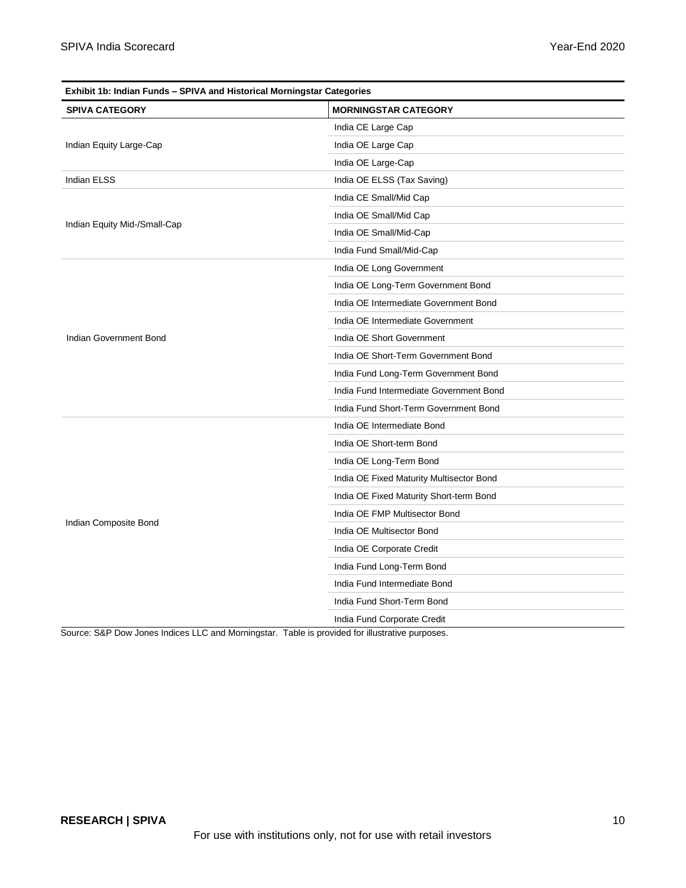| Exhibit 1b: Indian Funds - SPIVA and Historical Morningstar Categories |                                          |  |  |
|------------------------------------------------------------------------|------------------------------------------|--|--|
| <b>SPIVA CATEGORY</b>                                                  | <b>MORNINGSTAR CATEGORY</b>              |  |  |
|                                                                        | India CE Large Cap                       |  |  |
| Indian Equity Large-Cap                                                | India OE Large Cap                       |  |  |
|                                                                        | India OE Large-Cap                       |  |  |
| Indian ELSS                                                            | India OE ELSS (Tax Saving)               |  |  |
|                                                                        | India CE Small/Mid Cap                   |  |  |
|                                                                        | India OE Small/Mid Cap                   |  |  |
| Indian Equity Mid-/Small-Cap                                           | India OE Small/Mid-Cap                   |  |  |
|                                                                        | India Fund Small/Mid-Cap                 |  |  |
|                                                                        | India OE Long Government                 |  |  |
|                                                                        | India OE Long-Term Government Bond       |  |  |
|                                                                        | India OE Intermediate Government Bond    |  |  |
|                                                                        | India OE Intermediate Government         |  |  |
| Indian Government Bond                                                 | India OE Short Government                |  |  |
|                                                                        | India OE Short-Term Government Bond      |  |  |
|                                                                        | India Fund Long-Term Government Bond     |  |  |
|                                                                        | India Fund Intermediate Government Bond  |  |  |
|                                                                        | India Fund Short-Term Government Bond    |  |  |
|                                                                        | India OE Intermediate Bond               |  |  |
|                                                                        | India OE Short-term Bond                 |  |  |
|                                                                        | India OE Long-Term Bond                  |  |  |
|                                                                        | India OE Fixed Maturity Multisector Bond |  |  |
|                                                                        | India OE Fixed Maturity Short-term Bond  |  |  |
|                                                                        | India OE FMP Multisector Bond            |  |  |
| Indian Composite Bond                                                  | India OE Multisector Bond                |  |  |
|                                                                        | India OE Corporate Credit                |  |  |
|                                                                        | India Fund Long-Term Bond                |  |  |
|                                                                        | India Fund Intermediate Bond             |  |  |
|                                                                        | India Fund Short-Term Bond               |  |  |
|                                                                        | India Fund Corporate Credit              |  |  |

Source: S&P Dow Jones Indices LLC and Morningstar. Table is provided for illustrative purposes.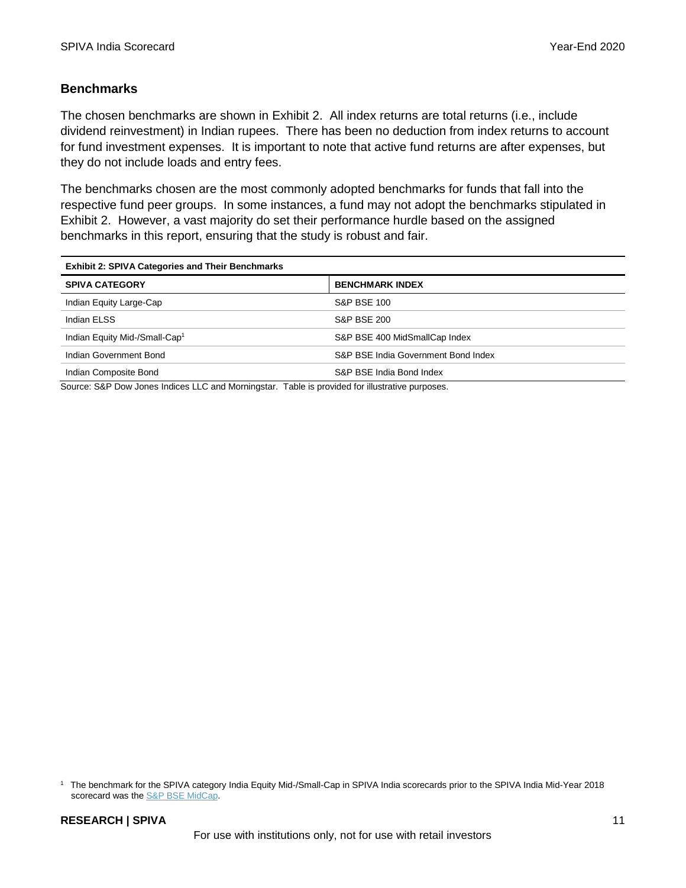#### **Benchmarks**

The chosen benchmarks are shown in Exhibit 2. All index returns are total returns (i.e., include dividend reinvestment) in Indian rupees. There has been no deduction from index returns to account for fund investment expenses. It is important to note that active fund returns are after expenses, but they do not include loads and entry fees.

The benchmarks chosen are the most commonly adopted benchmarks for funds that fall into the respective fund peer groups. In some instances, a fund may not adopt the benchmarks stipulated in Exhibit 2. However, a vast majority do set their performance hurdle based on the assigned benchmarks in this report, ensuring that the study is robust and fair.

| <b>Exhibit 2: SPIVA Categories and Their Benchmarks</b> |                                     |  |
|---------------------------------------------------------|-------------------------------------|--|
| <b>SPIVA CATEGORY</b>                                   | <b>BENCHMARK INDEX</b>              |  |
| Indian Equity Large-Cap                                 | <b>S&amp;P BSE 100</b>              |  |
| Indian ELSS                                             | <b>S&amp;P BSE 200</b>              |  |
| Indian Equity Mid-/Small-Cap <sup>1</sup>               | S&P BSE 400 MidSmallCap Index       |  |
| Indian Government Bond                                  | S&P BSE India Government Bond Index |  |
| Indian Composite Bond                                   | S&P BSE India Bond Index            |  |

Source: S&P Dow Jones Indices LLC and Morningstar. Table is provided for illustrative purposes.

<sup>1</sup> The benchmark for the SPIVA category India Equity Mid-/Small-Cap in SPIVA India scorecards prior to the SPIVA India Mid-Year 2018 scorecard was the **S&P BSE MidCap**.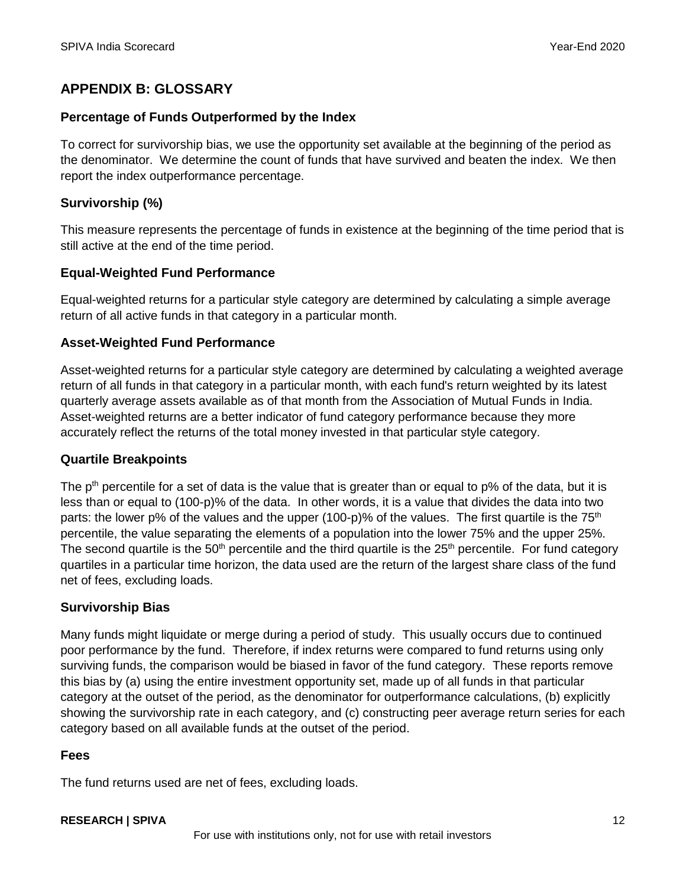# **APPENDIX B: GLOSSARY**

#### **Percentage of Funds Outperformed by the Index**

To correct for survivorship bias, we use the opportunity set available at the beginning of the period as the denominator. We determine the count of funds that have survived and beaten the index. We then report the index outperformance percentage.

## **Survivorship (%)**

This measure represents the percentage of funds in existence at the beginning of the time period that is still active at the end of the time period.

#### **Equal-Weighted Fund Performance**

Equal-weighted returns for a particular style category are determined by calculating a simple average return of all active funds in that category in a particular month.

#### **Asset-Weighted Fund Performance**

Asset-weighted returns for a particular style category are determined by calculating a weighted average return of all funds in that category in a particular month, with each fund's return weighted by its latest quarterly average assets available as of that month from the Association of Mutual Funds in India. Asset-weighted returns are a better indicator of fund category performance because they more accurately reflect the returns of the total money invested in that particular style category.

#### **Quartile Breakpoints**

The  $p<sup>th</sup>$  percentile for a set of data is the value that is greater than or equal to  $p\%$  of the data, but it is less than or equal to (100-p)% of the data. In other words, it is a value that divides the data into two parts: the lower p% of the values and the upper (100-p)% of the values. The first quartile is the  $75<sup>th</sup>$ percentile, the value separating the elements of a population into the lower 75% and the upper 25%. The second quartile is the  $50<sup>th</sup>$  percentile and the third quartile is the  $25<sup>th</sup>$  percentile. For fund category quartiles in a particular time horizon, the data used are the return of the largest share class of the fund net of fees, excluding loads.

## **Survivorship Bias**

Many funds might liquidate or merge during a period of study. This usually occurs due to continued poor performance by the fund. Therefore, if index returns were compared to fund returns using only surviving funds, the comparison would be biased in favor of the fund category. These reports remove this bias by (a) using the entire investment opportunity set, made up of all funds in that particular category at the outset of the period, as the denominator for outperformance calculations, (b) explicitly showing the survivorship rate in each category, and (c) constructing peer average return series for each category based on all available funds at the outset of the period.

#### **Fees**

The fund returns used are net of fees, excluding loads.

#### **RESEARCH | SPIVA** 12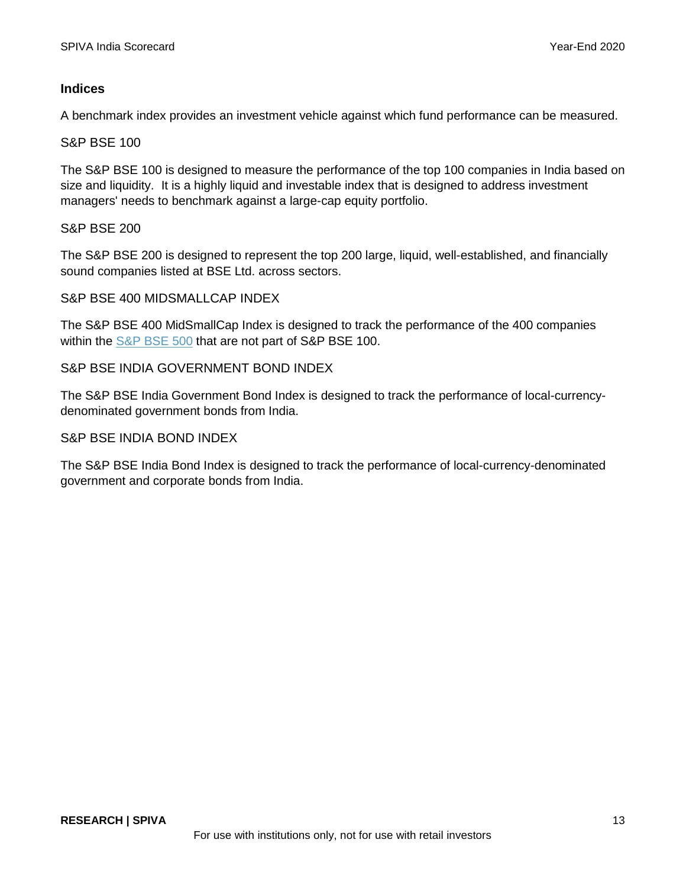#### **Indices**

A benchmark index provides an investment vehicle against which fund performance can be measured.

#### S&P BSE 100

The S&P BSE 100 is designed to measure the performance of the top 100 companies in India based on size and liquidity. It is a highly liquid and investable index that is designed to address investment managers' needs to benchmark against a large-cap equity portfolio.

#### S&P BSE 200

The S&P BSE 200 is designed to represent the top 200 large, liquid, well-established, and financially sound companies listed at BSE Ltd. across sectors.

#### S&P BSE 400 MIDSMALLCAP INDEX

The S&P BSE 400 MidSmallCap Index is designed to track the performance of the 400 companies within the [S&P BSE 500](https://www.spglobal.com/spdji/en/indices/equity/sp-bse-500/#overview) that are not part of S&P BSE 100.

#### S&P BSE INDIA GOVERNMENT BOND INDEX

The S&P BSE India Government Bond Index is designed to track the performance of local-currencydenominated government bonds from India.

#### S&P BSE INDIA BOND INDEX

The S&P BSE India Bond Index is designed to track the performance of local-currency-denominated government and corporate bonds from India.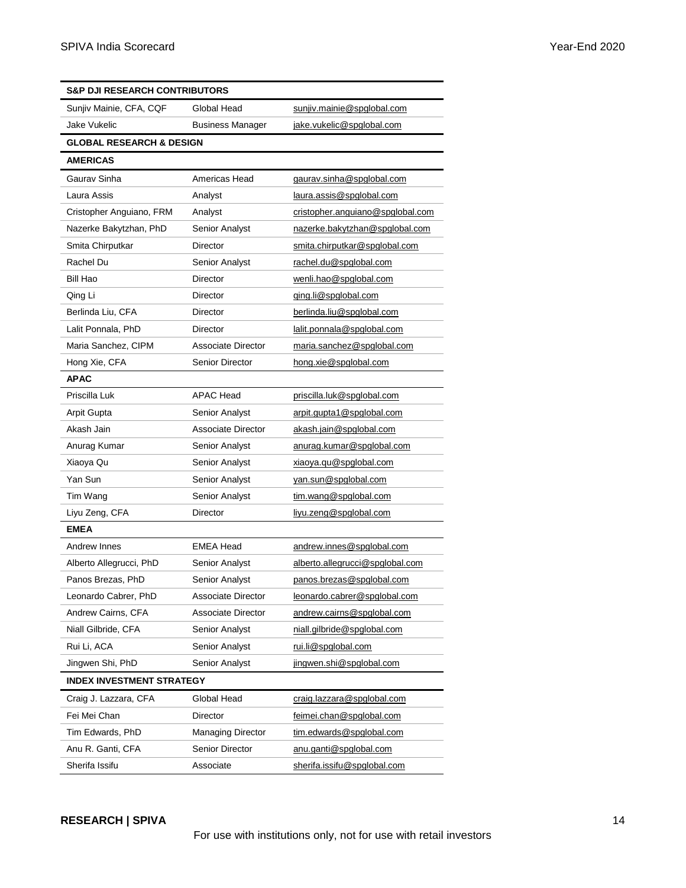| <b>S&amp;P DJI RESEARCH CONTRIBUTORS</b> |                          |                                  |  |  |  |
|------------------------------------------|--------------------------|----------------------------------|--|--|--|
| Sunjiv Mainie, CFA, CQF                  | Global Head              | sunjiv.mainie@spglobal.com       |  |  |  |
| Jake Vukelic                             | <b>Business Manager</b>  | jake.vukelic@spglobal.com        |  |  |  |
| <b>GLOBAL RESEARCH &amp; DESIGN</b>      |                          |                                  |  |  |  |
| <b>AMERICAS</b>                          |                          |                                  |  |  |  |
| Gaurav Sinha                             | Americas Head            | gaurav.sinha@spglobal.com        |  |  |  |
| Laura Assis                              | Analyst                  | laura.assis@spglobal.com         |  |  |  |
| Cristopher Anguiano, FRM                 | Analyst                  | cristopher.anguiano@spglobal.com |  |  |  |
| Nazerke Bakytzhan, PhD                   | Senior Analyst           | nazerke.bakytzhan@spglobal.com   |  |  |  |
| Smita Chirputkar                         | Director                 | smita.chirputkar@spglobal.com    |  |  |  |
| Rachel Du                                | Senior Analyst           | rachel.du@spglobal.com           |  |  |  |
| Bill Hao                                 | Director                 | wenli.hao@spglobal.com           |  |  |  |
| Qing Li                                  | Director                 | qing.li@spglobal.com             |  |  |  |
| Berlinda Liu, CFA                        | Director                 | berlinda.liu@spglobal.com        |  |  |  |
| Lalit Ponnala, PhD                       | Director                 | lalit.ponnala@spqlobal.com       |  |  |  |
| Maria Sanchez, CIPM                      | Associate Director       | maria.sanchez@spglobal.com       |  |  |  |
| Hong Xie, CFA                            | <b>Senior Director</b>   | hong.xie@spglobal.com            |  |  |  |
| <b>APAC</b>                              |                          |                                  |  |  |  |
| Priscilla Luk                            | <b>APAC Head</b>         | priscilla.luk@spglobal.com       |  |  |  |
| Arpit Gupta                              | Senior Analyst           | arpit.gupta1@spglobal.com        |  |  |  |
| Akash Jain                               | Associate Director       | akash.jain@spglobal.com          |  |  |  |
| Anurag Kumar                             | Senior Analyst           | anurag.kumar@spglobal.com        |  |  |  |
| Xiaoya Qu                                | Senior Analyst           | xiaoya.qu@spglobal.com           |  |  |  |
| Yan Sun                                  | Senior Analyst           | yan.sun@spglobal.com             |  |  |  |
| Tim Wang                                 | Senior Analyst           | tim.wang@spglobal.com            |  |  |  |
| Liyu Zeng, CFA                           | Director                 | liyu.zeng@spglobal.com           |  |  |  |
| <b>EMEA</b>                              |                          |                                  |  |  |  |
| Andrew Innes                             | <b>EMEA Head</b>         | andrew.innes@spglobal.com        |  |  |  |
| Alberto Allegrucci, PhD                  | Senior Analyst           | alberto.allegrucci@spglobal.com  |  |  |  |
| Panos Brezas, PhD                        | Senior Analyst           | panos.brezas@spglobal.com        |  |  |  |
| Leonardo Cabrer, PhD                     | Associate Director       | leonardo.cabrer@spglobal.com     |  |  |  |
| Andrew Cairns, CFA                       | Associate Director       | andrew.cairns@spglobal.com       |  |  |  |
| Niall Gilbride, CFA                      | Senior Analyst           | niall.gilbride@spglobal.com      |  |  |  |
| Rui Li, ACA                              | Senior Analyst           | rui.li@spglobal.com              |  |  |  |
| Jingwen Shi, PhD                         | Senior Analyst           | jingwen.shi@spglobal.com         |  |  |  |
| <b>INDEX INVESTMENT STRATEGY</b>         |                          |                                  |  |  |  |
| Craig J. Lazzara, CFA                    | Global Head              | craig.lazzara@spqlobal.com       |  |  |  |
| Fei Mei Chan                             | Director                 | feimei.chan@spglobal.com         |  |  |  |
| Tim Edwards, PhD                         | <b>Managing Director</b> | tim.edwards@spglobal.com         |  |  |  |
| Anu R. Ganti, CFA                        | Senior Director          | anu.ganti@spglobal.com           |  |  |  |
| Sherifa Issifu                           | Associate                | sherifa.issifu@spglobal.com      |  |  |  |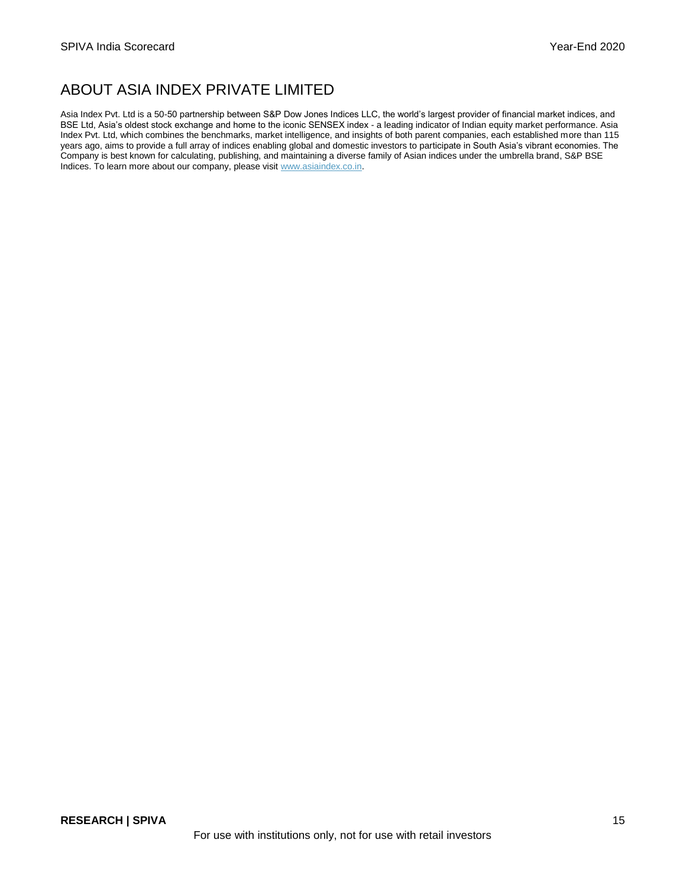# ABOUT ASIA INDEX PRIVATE LIMITED

Asia Index Pvt. Ltd is a 50-50 partnership between S&P Dow Jones Indices LLC, the world's largest provider of financial market indices, and BSE Ltd, Asia's oldest stock exchange and home to the iconic SENSEX index - a leading indicator of Indian equity market performance. Asia Index Pvt. Ltd, which combines the benchmarks, market intelligence, and insights of both parent companies, each established more than 115 years ago, aims to provide a full array of indices enabling global and domestic investors to participate in South Asia's vibrant economies. The Company is best known for calculating, publishing, and maintaining a diverse family of Asian indices under the umbrella brand, S&P BSE Indices. To learn more about our company, please visi[t www.asiaindex.co.in.](http://www.asiaindex.co.in/)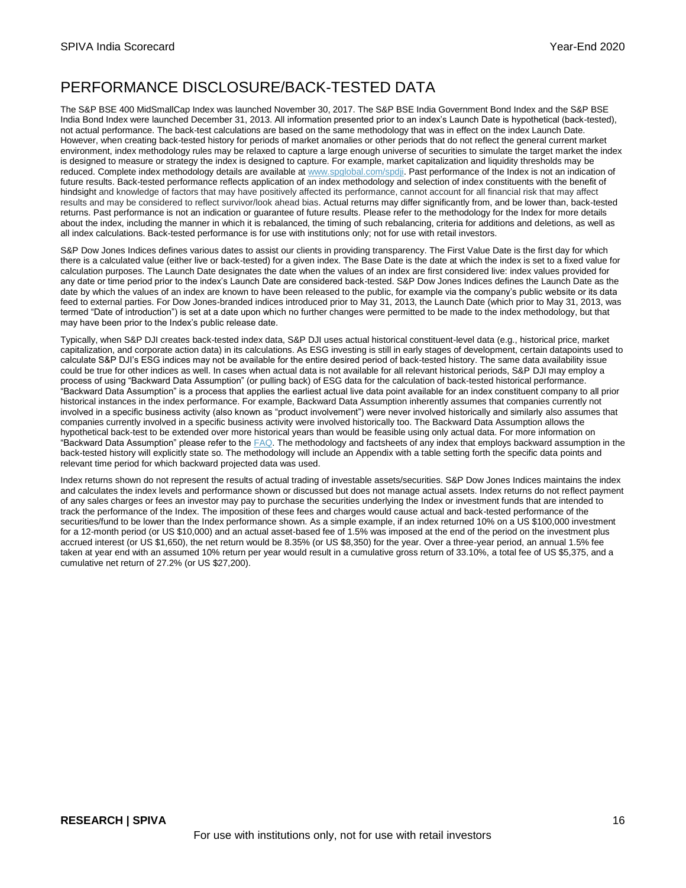# PERFORMANCE DISCLOSURE/BACK-TESTED DATA

The S&P BSE 400 MidSmallCap Index was launched November 30, 2017. The S&P BSE India Government Bond Index and the S&P BSE India Bond Index were launched December 31, 2013. All information presented prior to an index's Launch Date is hypothetical (back-tested), not actual performance. The back-test calculations are based on the same methodology that was in effect on the index Launch Date. However, when creating back-tested history for periods of market anomalies or other periods that do not reflect the general current market environment, index methodology rules may be relaxed to capture a large enough universe of securities to simulate the target market the index is designed to measure or strategy the index is designed to capture. For example, market capitalization and liquidity thresholds may be reduced. Complete index methodology details are available at [www.spglobal.com/spdji.](http://www.spglobal.com/spdji) Past performance of the Index is not an indication of future results. Back-tested performance reflects application of an index methodology and selection of index constituents with the benefit of hindsight and knowledge of factors that may have positively affected its performance, cannot account for all financial risk that may affect results and may be considered to reflect survivor/look ahead bias. Actual returns may differ significantly from, and be lower than, back-tested returns. Past performance is not an indication or guarantee of future results. Please refer to the methodology for the Index for more details about the index, including the manner in which it is rebalanced, the timing of such rebalancing, criteria for additions and deletions, as well as all index calculations. Back-tested performance is for use with institutions only; not for use with retail investors.

S&P Dow Jones Indices defines various dates to assist our clients in providing transparency. The First Value Date is the first day for which there is a calculated value (either live or back-tested) for a given index. The Base Date is the date at which the index is set to a fixed value for calculation purposes. The Launch Date designates the date when the values of an index are first considered live: index values provided for any date or time period prior to the index's Launch Date are considered back-tested. S&P Dow Jones Indices defines the Launch Date as the date by which the values of an index are known to have been released to the public, for example via the company's public website or its data feed to external parties. For Dow Jones-branded indices introduced prior to May 31, 2013, the Launch Date (which prior to May 31, 2013, was termed "Date of introduction") is set at a date upon which no further changes were permitted to be made to the index methodology, but that may have been prior to the Index's public release date.

Typically, when S&P DJI creates back-tested index data, S&P DJI uses actual historical constituent-level data (e.g., historical price, market capitalization, and corporate action data) in its calculations. As ESG investing is still in early stages of development, certain datapoints used to calculate S&P DJI's ESG indices may not be available for the entire desired period of back-tested history. The same data availability issue could be true for other indices as well. In cases when actual data is not available for all relevant historical periods, S&P DJI may employ a process of using "Backward Data Assumption" (or pulling back) of ESG data for the calculation of back-tested historical performance. "Backward Data Assumption" is a process that applies the earliest actual live data point available for an index constituent company to all prior historical instances in the index performance. For example, Backward Data Assumption inherently assumes that companies currently not involved in a specific business activity (also known as "product involvement") were never involved historically and similarly also assumes that companies currently involved in a specific business activity were involved historically too. The Backward Data Assumption allows the hypothetical back-test to be extended over more historical years than would be feasible using only actual data. For more information on "Backward Data Assumption" please refer to th[e FAQ.](https://www.spglobal.com/spdji/en/education/article/faq-esg-back-testing-backward-data-assumption-overview/) The methodology and factsheets of any index that employs backward assumption in the back-tested history will explicitly state so. The methodology will include an Appendix with a table setting forth the specific data points and relevant time period for which backward projected data was used.

Index returns shown do not represent the results of actual trading of investable assets/securities. S&P Dow Jones Indices maintains the index and calculates the index levels and performance shown or discussed but does not manage actual assets. Index returns do not reflect payment of any sales charges or fees an investor may pay to purchase the securities underlying the Index or investment funds that are intended to track the performance of the Index. The imposition of these fees and charges would cause actual and back-tested performance of the securities/fund to be lower than the Index performance shown. As a simple example, if an index returned 10% on a US \$100,000 investment for a 12-month period (or US \$10,000) and an actual asset-based fee of 1.5% was imposed at the end of the period on the investment plus accrued interest (or US \$1,650), the net return would be 8.35% (or US \$8,350) for the year. Over a three-year period, an annual 1.5% fee taken at year end with an assumed 10% return per year would result in a cumulative gross return of 33.10%, a total fee of US \$5,375, and a cumulative net return of 27.2% (or US \$27,200).